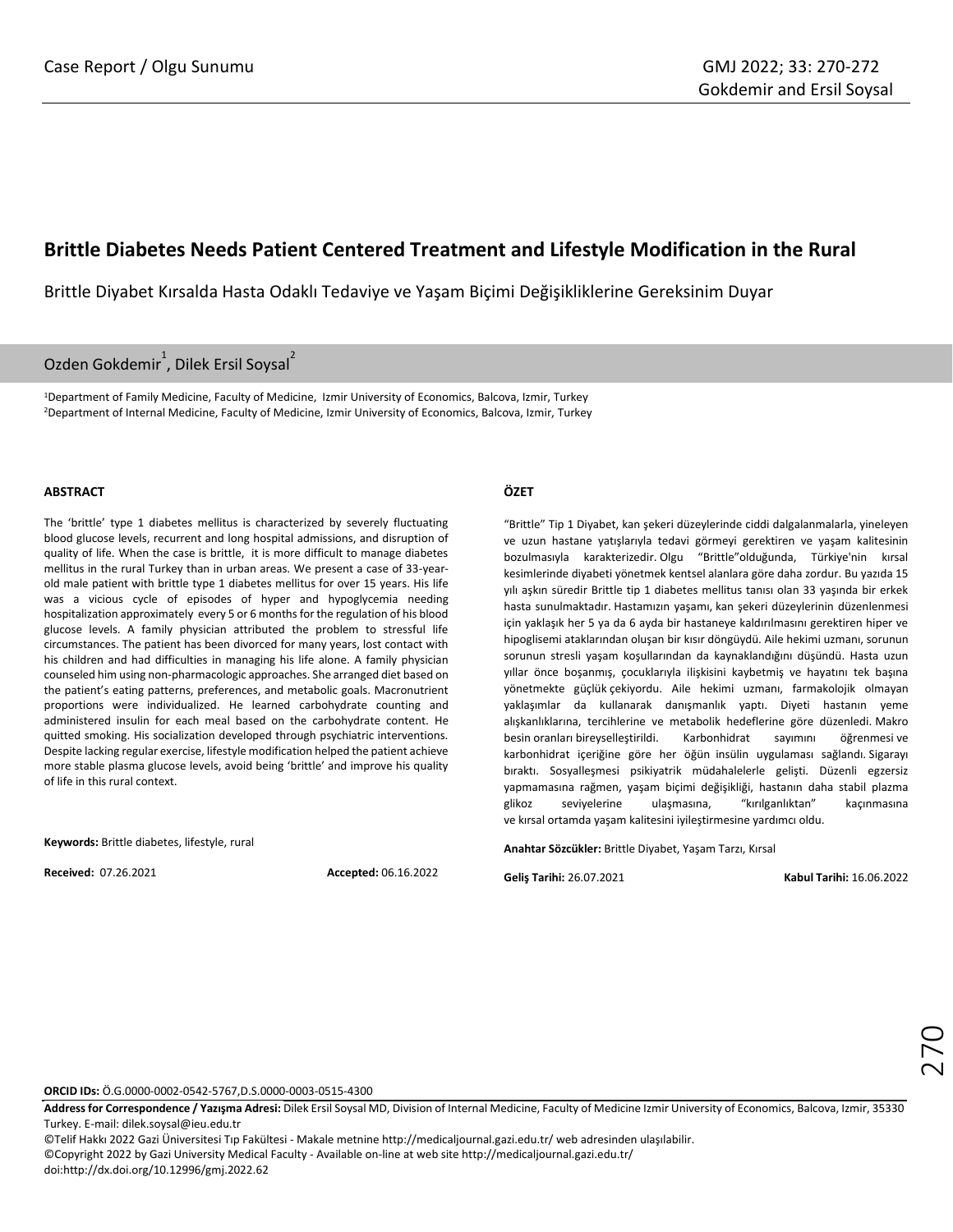# **Brittle Diabetes Needs Patient Centered Treatment and Lifestyle Modification in the Rural**

Brittle Diyabet Kırsalda Hasta Odaklı Tedaviye ve Yaşam Biçimi Değişikliklerine Gereksinim Duyar

# Ozden Gokdemir<sup>1</sup>, Dilek Ersil Soysal<sup>2</sup>

<sup>1</sup>Department of Family Medicine, Faculty of Medicine, Izmir University of Economics, Balcova, Izmir, Turkey <sup>2</sup>Department of Internal Medicine, Faculty of Medicine, Izmir University of Economics, Balcova, Izmir, Turkey

### **ABSTRACT**

The 'brittle' type 1 diabetes mellitus is characterized by severely fluctuating blood glucose levels, recurrent and long hospital admissions, and disruption of quality of life. When the case is brittle, it is more difficult to manage diabetes mellitus in the rural Turkey than in urban areas. We present a case of 33-yearold male patient with brittle type 1 diabetes mellitus for over 15 years. His life was a vicious cycle of episodes of hyper and hypoglycemia needing hospitalization approximately every 5 or 6 months for the regulation of his blood glucose levels. A family physician attributed the problem to stressful life circumstances. The patient has been divorced for many years, lost contact with his children and had difficulties in managing his life alone. A family physician counseled him using non-pharmacologic approaches. She arranged diet based on the patient's eating patterns, preferences, and metabolic goals. Macronutrient proportions were individualized. He learned carbohydrate counting and administered insulin for each meal based on the carbohydrate content. He quitted smoking. His socialization developed through psychiatric interventions. Despite lacking regular exercise, lifestyle modification helped the patient achieve more stable plasma glucose levels, avoid being 'brittle' and improve his quality of life in this rural context.

**Keywords:** Brittle diabetes, lifestyle, rural

**Received:** 07.26.2021 **Accepted:** 06.16.2022

## **ÖZET**

"Brittle" Tip 1 Diyabet, kan şekeri düzeylerinde ciddi dalgalanmalarla, yineleyen ve uzun hastane yatışlarıyla tedavi görmeyi gerektiren ve yaşam kalitesinin bozulmasıyla karakterizedir. Olgu "Brittle"olduğunda, Türkiye'nin kırsal kesimlerinde diyabeti yönetmek kentsel alanlara göre daha zordur. Bu yazıda 15 yılı aşkın süredir Brittle tip 1 diabetes mellitus tanısı olan 33 yaşında bir erkek hasta sunulmaktadır. Hastamızın yaşamı, kan şekeri düzeylerinin düzenlenmesi için yaklaşık her 5 ya da 6 ayda bir hastaneye kaldırılmasını gerektiren hiper ve hipoglisemi ataklarından oluşan bir kısır döngüydü. Aile hekimi uzmanı, sorunun sorunun stresli yaşam koşullarından da kaynaklandığını düşündü. Hasta uzun yıllar önce boşanmış, çocuklarıyla ilişkisini kaybetmiş ve hayatını tek başına yönetmekte güçlük çekiyordu. Aile hekimi uzmanı, farmakolojik olmayan yaklaşımlar da kullanarak danışmanlık yaptı. Diyeti hastanın yeme alışkanlıklarına, tercihlerine ve metabolik hedeflerine göre düzenledi. Makro besin oranları bireyselleştirildi. Karbonhidrat sayımını öğrenmesi ve karbonhidrat içeriğine göre her öğün insülin uygulaması sağlandı. Sigarayı bıraktı. Sosyalleşmesi psikiyatrik müdahalelerle gelişti. Düzenli egzersiz yapmamasına rağmen, yaşam biçimi değişikliği, hastanın daha stabil plazma glikoz seviyelerine ulaşmasına, "kırılganlıktan" kaçınmasına ve kırsal ortamda yaşam kalitesini iyileştirmesine yardımcı oldu.

**Anahtar Sözcükler:** Brittle Diyabet, Yaşam Tarzı, Kırsal

**Geliş Tarihi:** 26.07.2021 **Kabul Tarihi:** 16.06.2022

**ORCID IDs:** Ö.G.0000-0002-0542-5767,D.S.0000-0003-0515-4300

**Address for Correspondence / Yazışma Adresi:** Dilek Ersil Soysal MD, Division of Internal Medicine, Faculty of Medicine Izmir University of Economics, Balcova, Izmir, 35330 Turkey. E-mail[: dilek.soysal@ieu.edu.tr](mailto:dilek.soysal@ieu.edu.tr)

©Telif Hakkı 2022 Gazi Üniversitesi Tıp Fakültesi - Makale metnine http://medicaljournal.gazi.edu.tr/ web adresinden ulaşılabilir. ©Copyright 2022 by Gazi University Medical Faculty - Available on-line at web site http://medicaljournal.gazi.edu.tr/ doi:http://dx.doi.org/10.12996/gmj.2022.62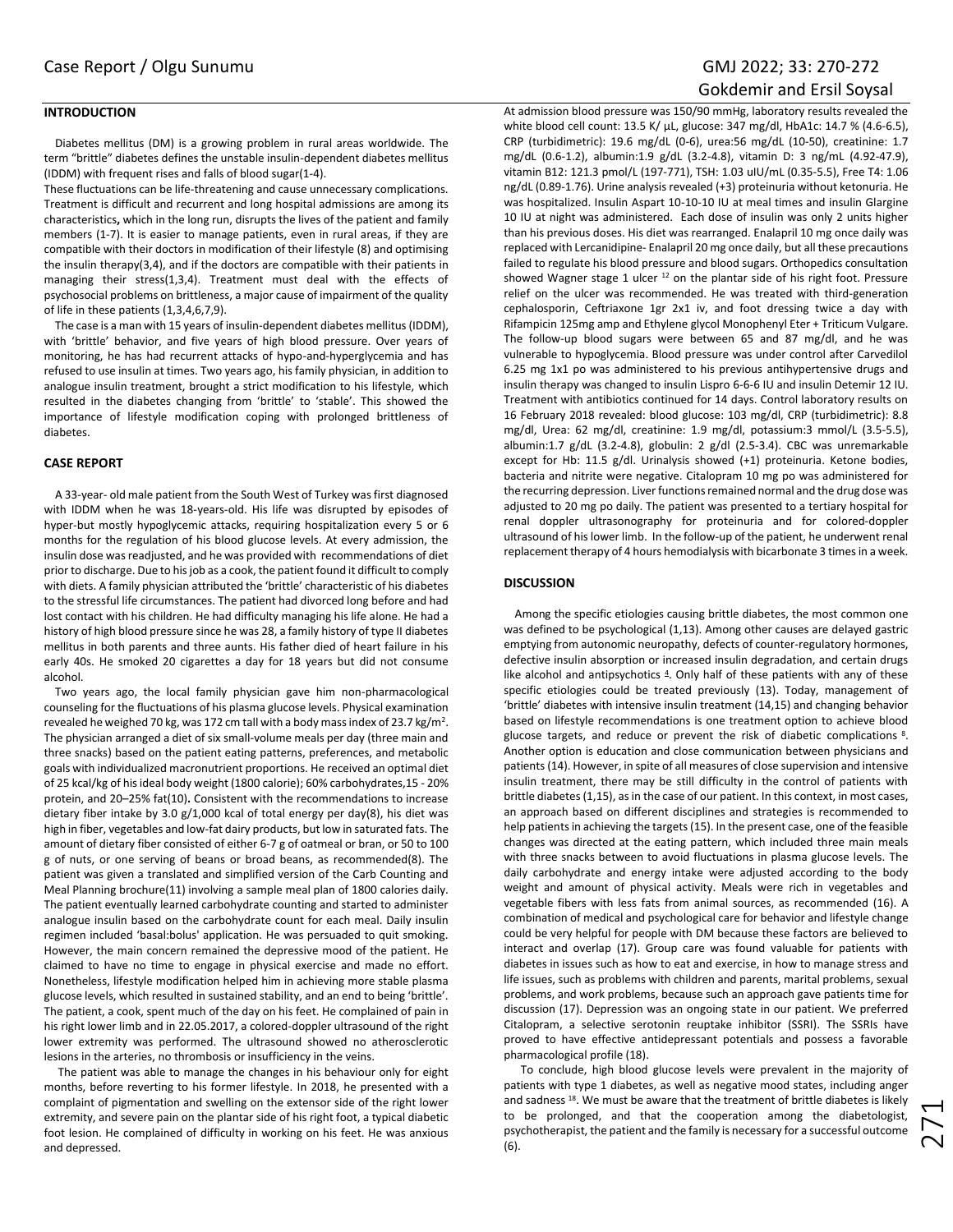# **INTRODUCTION**

Diabetes mellitus (DM) is a growing problem in rural areas worldwide. The term "brittle" diabetes defines the unstable insulin-dependent diabetes mellitus (IDDM) with frequent rises and falls of blood sugar(1-4).

These fluctuations can be life-threatening and cause unnecessary complications. Treatment is difficult and recurrent and long hospital admissions are among its characteristics**,** which in the long run, disrupts the lives of the patient and family members (1-7). It is easier to manage patients, even in rural areas, if they are compatible with their doctors in modification of their lifestyle (8) and optimising the insulin therapy(3,4), and if the doctors are compatible with their patients in managing their stress(1,3,4). Treatment must deal with the effects of psychosocial problems on brittleness, a major cause of impairment of the quality of life in these patients (1,3,4,6,7,9).

The case is a man with 15 years of insulin-dependent diabetes mellitus (IDDM), with 'brittle' behavior, and five years of high blood pressure. Over years of monitoring, he has had recurrent attacks of hypo-and-hyperglycemia and has refused to use insulin at times. Two years ago, his family physician, in addition to analogue insulin treatment, brought a strict modification to his lifestyle, which resulted in the diabetes changing from 'brittle' to 'stable'. This showed the importance of lifestyle modification coping with prolonged brittleness of diabetes.

#### **CASE REPORT**

A 33-year- old male patient from the South West of Turkey was first diagnosed with IDDM when he was 18-years-old. His life was disrupted by episodes of hyper-but mostly hypoglycemic attacks, requiring hospitalization every 5 or 6 months for the regulation of his blood glucose levels. At every admission, the insulin dose was readjusted, and he was provided with recommendations of diet prior to discharge. Due to his job as a cook, the patient found it difficult to comply with diets. A family physician attributed the 'brittle' characteristic of his diabetes to the stressful life circumstances. The patient had divorced long before and had lost contact with his children. He had difficulty managing his life alone. He had a history of high blood pressure since he was 28, a family history of type II diabetes mellitus in both parents and three aunts. His father died of heart failure in his early 40s. He smoked 20 cigarettes a day for 18 years but did not consume alcohol.

Two years ago, the local family physician gave him non-pharmacological counseling for the fluctuations of his plasma glucose levels. Physical examination revealed he weighed 70 kg, was 172 cm tall with a body mass index of 23.7 kg/m<sup>2</sup>. The physician arranged a diet of six small-volume meals per day (three main and three snacks) based on the patient eating patterns, preferences, and metabolic goals with individualized macronutrient proportions. He received an optimal diet of 25 kcal/kg of his ideal body weight (1800 calorie); 60% carbohydrates,15 - 20% protein, and 20–25% fat(10)**.** Consistent with the recommendations to increase dietary fiber intake by 3.0 g/1,000 kcal of total energy per day(8), his diet was high in fiber, vegetables and low-fat dairy products, but low in saturated fats. The amount of dietary fiber consisted of either 6-7 g of oatmeal or bran, or 50 to 100 g of nuts, or one serving of beans or broad beans, as recommended(8). The patient was given a translated and simplified version of the Carb Counting and Meal Planning brochure(11) involving a sample meal plan of 1800 calories daily. The patient eventually learned carbohydrate counting and started to administer analogue insulin based on the carbohydrate count for each meal. Daily insulin regimen included 'basal:bolus' application. He was persuaded to quit smoking. However, the main concern remained the depressive mood of the patient. He claimed to have no time to engage in physical exercise and made no effort. Nonetheless, lifestyle modification helped him in achieving more stable plasma glucose levels, which resulted in sustained stability, and an end to being 'brittle'. The patient, a cook, spent much of the day on his feet. He complained of pain in his right lower limb and in 22.05.2017, a colored-doppler ultrasound of the right lower extremity was performed. The ultrasound showed no atherosclerotic lesions in the arteries, no thrombosis or insufficiency in the veins.

 The patient was able to manage the changes in his behaviour only for eight months, before reverting to his former lifestyle. In 2018, he presented with a complaint of pigmentation and swelling on the extensor side of the right lower extremity, and severe pain on the plantar side of his right foot, a typical diabetic foot lesion. He complained of difficulty in working on his feet. He was anxious and depressed.

# Gokdemir and Ersil Soysal

At admission blood pressure was 150/90 mmHg, laboratory results revealed the white blood cell count: 13.5 K/ µL, glucose: 347 mg/dl, HbA1c: 14.7 % (4.6-6.5), CRP (turbidimetric): 19.6 mg/dL (0-6), urea:56 mg/dL (10-50), creatinine: 1.7 mg/dL (0.6-1.2), albumin:1.9 g/dL (3.2-4.8), vitamin D: 3 ng/mL (4.92-47.9), vitamin B12: 121.3 pmol/L (197-771), TSH: 1.03 uIU/mL (0.35-5.5), Free T4: 1.06 ng/dL (0.89-1.76). Urine analysis revealed (+3) proteinuria without ketonuria. He was hospitalized. Insulin Aspart 10-10-10 IU at meal times and insulin Glargine 10 IU at night was administered. Each dose of insulin was only 2 units higher than his previous doses. His diet was rearranged. Enalapril 10 mg once daily was replaced with Lercanidipine- Enalapril 20 mg once daily, but all these precautions failed to regulate his blood pressure and blood sugars. Orthopedics consultation showed Wagner stage 1 ulcer  $12$  on the plantar side of his right foot. Pressure relief on the ulcer was recommended. He was treated with third-generation cephalosporin, Ceftriaxone 1gr 2x1 iv, and foot dressing twice a day with Rifampicin 125mg amp and Ethylene glycol Monophenyl Eter + Triticum Vulgare. The follow-up blood sugars were between 65 and 87 mg/dl, and he was vulnerable to hypoglycemia. Blood pressure was under control after Carvedilol 6.25 mg 1x1 po was administered to his previous antihypertensive drugs and insulin therapy was changed to insulin Lispro 6-6-6 IU and insulin Detemir 12 IU. Treatment with antibiotics continued for 14 days. Control laboratory results on 16 February 2018 revealed: blood glucose: 103 mg/dl, CRP (turbidimetric): 8.8 mg/dl, Urea: 62 mg/dl, creatinine: 1.9 mg/dl, potassium:3 mmol/L (3.5-5.5), albumin:1.7 g/dL (3.2-4.8), globulin: 2 g/dl (2.5-3.4). CBC was unremarkable except for Hb: 11.5 g/dl. Urinalysis showed (+1) proteinuria. Ketone bodies, bacteria and nitrite were negative. Citalopram 10 mg po was administered for the recurring depression. Liver functions remained normal and the drug dose was adjusted to 20 mg po daily. The patient was presented to a tertiary hospital for renal doppler ultrasonography for proteinuria and for colored-doppler ultrasound of his lower limb. In the follow-up of the patient, he underwent renal replacement therapy of 4 hours hemodialysis with bicarbonate 3 times in a week.

### **DISCUSSION**

Among the specific etiologies causing brittle diabetes, the most common one was defined to be psychological (1,13). Among other causes are delayed gastric emptying from autonomic neuropathy, defects of counter-regulatory hormones, defective insulin absorption or increased insulin degradation, and certain drugs like alcohol and antipsychotics 4. Only half of these patients with any of these specific etiologies could be treated previously (13). Today, management of 'brittle' diabetes with intensive insulin treatment (14,15) and changing behavior based on lifestyle recommendations is one treatment option to achieve blood glucose targets, and reduce or prevent the risk of diabetic complications 8. Another option is education and close communication between physicians and patients (14). However, in spite of all measures of close supervision and intensive insulin treatment, there may be still difficulty in the control of patients with brittle diabetes(1,15), as in the case of our patient. In this context, in most cases, an approach based on different disciplines and strategies is recommended to help patients in achieving the targets(15). In the present case, one of the feasible changes was directed at the eating pattern, which included three main meals with three snacks between to avoid fluctuations in plasma glucose levels. The daily carbohydrate and energy intake were adjusted according to the body weight and amount of physical activity. Meals were rich in vegetables and vegetable fibers with less fats from animal sources, as recommended (16). A combination of medical and psychological care for behavior and lifestyle change could be very helpful for people with DM because these factors are believed to interact and overlap (17). Group care was found valuable for patients with diabetes in issues such as how to eat and exercise, in how to manage stress and life issues, such as problems with children and parents, marital problems, sexual problems, and work problems, because such an approach gave patients time for discussion (17). Depression was an ongoing state in our patient. We preferred Citalopram, a selective serotonin reuptake inhibitor (SSRI). The SSRIs have proved to have effective antidepressant potentials and possess a favorable pharmacological profile (18).

 To conclude, high blood glucose levels were prevalent in the majority of patients with type 1 diabetes, as well as negative mood states, including anger and sadness<sup>18</sup>. We must be aware that the treatment of brittle diabetes is likely to be prolonged, and that the cooperation among the diabetologist, psychotherapist, the patient and the family is necessary for a successful outcome (6).

271